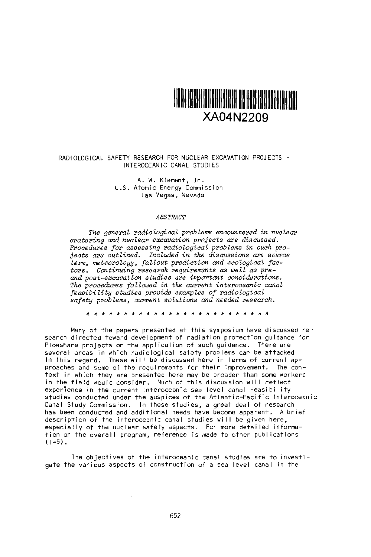

### RADIOLOGICAL SAFETY RESEARCH FOR NUCLEAR EXCAVATION PROJECTS - INTEROCEANIC CANAL STUDIES

A. W. Klement, Jr : U.S. Atomic Energy Commission Las Vegas, Nevada

### *ABSTRACT*

*The general radiological problems encountered* in nuclear *cratering and nuclear excavation projects are discussed. Procedures for assessing radiological problems in such projects are outlined.* ncluded in *the discussions are source term, meteorology, fallout prediction nd ecological factors. Continuing research requirements as well as preand post-excavation studies are important considerations. The procedures foZlowed* in the *current interoceanic cnal feasibility studies provide examples of radiological safety problems, current solutions and needed research.*

\* \* \* A \* \* \* \* \* \* \* \* \* \* \* \* A \* \* \*

Many of the papers presented at this symposium have discussed research directed toward development of radiation protection guidance for Plowshare projects or the application of such guidance. There are several areas in which radiological safety problems can be attacked in this regard. These will be discussed here in terms of current ap-Proaches and some of the requirements for their improvement. The context in which they are presented here may be broader than some workers in the field would consider. Much of this discussion will reflect experience in the current interoceanic sea level canal feasibility studies conducted under the auspices of the Atlantic-Pacific Interoceanic Canal Study Commission. In these studies, a great deal of research has been conducted and additional needs have become apparent. A brief description of the interoceanic canal studies will be given here, especially of the nuclear safety aspects. For more detailed information on the overall program, reference is made to other publications<br>(1-5).

The objectives of the interoceanic canal studies are to investigate the various aspects of construction of a sea level canal in the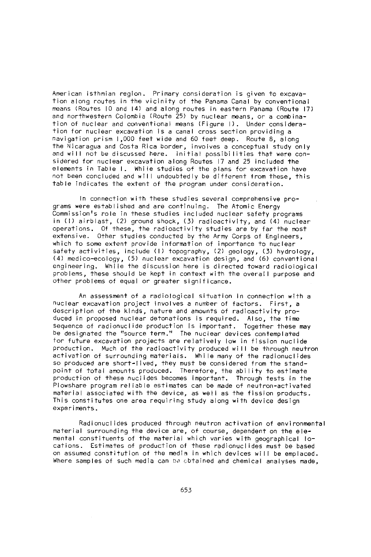American isthmian region. Primary consideration is given to excavation along routes in the vicinity of the Panama Canal by conventional means (Routes 10 and 14) and along routes in eastern Panama (Route 17) and northwestern Colombia (Route 25) by nuclear means, or a combination of nuclear and conventional means (Figure 1). Under consideration for nuclear excavation is a canal cross section providing a navigation prism 1,000 feet wide and 60 feet deep. Route 8, along the Nicaragua and Costa Rica border, involves a conceptual study only and will not be discussed here. Initial possibilities that were considered for nuclear excavation along Routes 17 and 25 included the elements in Table 1. While studies of the plans for excavation have not been concluded and will undoubtedly be different from these, this table indicates the extent of the program under consideration.

In connection with these studies several comprehensive programs were established and are continuing. The Atomic Energy Commission's role in these studies included nuclear safety programs in (1) airblast, (2) ground shock, (3) radioactivity, and (4) nuclear operations. Of these, the radioactivity studies are by far the most extensive. Other studies conducted by the Army Corps of Engineers, which to some extent provide information of importance to nuclear safety activities, include (1) topography, (2) geology, (3) hydrology, (4) medico-ecology, (5) nuclear excavation design, and (6) conventional engineering. While the discussion here is directed toward radiological problems, these should be kept in context with the overall purpose and other problems of equal or greater significance.

An assessment of a radiological situation in connection with a nuclear excavation project involves a number of factors. First, a description of the kinds, nature and amounts of radioactivity produced in proposed nuclear detonations is required. Also, the time sequence of radionuclide production is important. Together these may be designated the "source term." The nuclear devices contemplated for future excavation projects are relatively low in fission nuclide production. Much of the radioactivity produced will be through neutron activation of surrounding materials. While many of the radionuclides so produced are short-lived, they must be considered from the standpoint of total amounts produced. Therefore, the ability to estimate production of these nuclides becomes important. Through tests in the Plowshare program reliable estimates can be made of neutron-activated material associated with the device, as well as the fission products. This constitutes one area requiring study along with device design experiments.

Radionuclides produced through neutron activation of environmental material surrounding the device are, of course, dependent on the elemental constituents of the material which varies with geographical locations. Estimates of production of these radionuclides must be based on assumed constitution of the media in which devices will be emplaced. Where samples of such media can be obtained and chemical analyses made.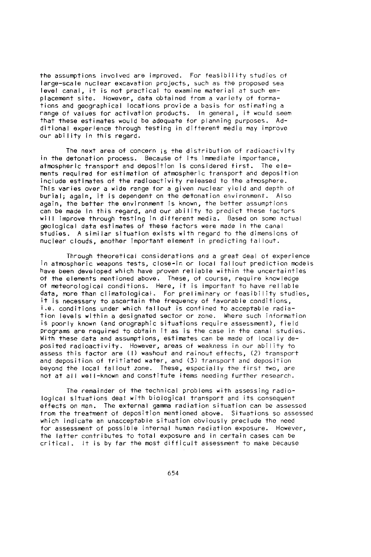the assumptions involved are improved. For feasibility studies of large-scale nuclear excavation projects, such as the proposed sea level canal, it is not practical to examine material at such emplacement site. However, data obtained from a variety of formations and geographical locations provide a basis for estimating a range of values for activation products. In general, it would seem that these estimates would be adequate for planning purposes. Additional experience through testing in different media may improve our ability in this regard.

The next area of concern is the distribution of radioactivity in the detonation process. Because of its immediate importance, atmospheric transport and deposition is considered first. The elements required for estimation of atmospheric transport and deposition include estimates of the radioactivity released to the atmosphere. This varies over a wide range for a given nuclear yield and depth of burial; again, it is dependent on the detonation environment. Also again, the better the environment is known, the better assumptions can be made in this regard, and our ability to predict these factors will improve through testing in different media. Based on some actual geological data estimates of these factors were made in the canal studies. A similar situation exists with regard to the dimensions of nuclear clouds, another important element in predicting fallout.

Through theoretical considerations and a great deal of experience in atmospheric weapons tests, close-in or local fallout prediction models have been developed which have proven reliable within the uncertainties of the elements mentioned above. These, of course, require knowledge of eteorological conditions. Here, it is important to have reliable data, more than climatological. For preliminary or feasibility studies, it is necessary to ascertain the frequency of favorable conditions, i.e. conditions under which fallout is confined to acceptable radiation levels within a designated sector or zone. Where such information is poorly known (and orographic situations require assessment), field programs are required to obtain it as is the case in the canal studies. With these data and assumptions, estimates can be made of locally deposited radioactivity. However, areas of weakness in our ability to assess this factor are (1) washout and rainout effects, (2) transport and deposition of tritiated water, and (3) transport and deposition beyond the local fallout zone. These, especially the first two, are not at all well-known and constitute items needing further research.

The remainder of the technical problems with assessing radiological situations deal with biological transport and its consequent effects on man. The external gamma radiation situation can be assessed from the treatment of deposition mentioned above. Situations so assessed which indicate an unacceptable situation obviously preclude the need for assessment of possible internal human radiation exposure. However, the latter contributes to total exposure and in certain cases can be critical. It is by far the most difficult assessment to make because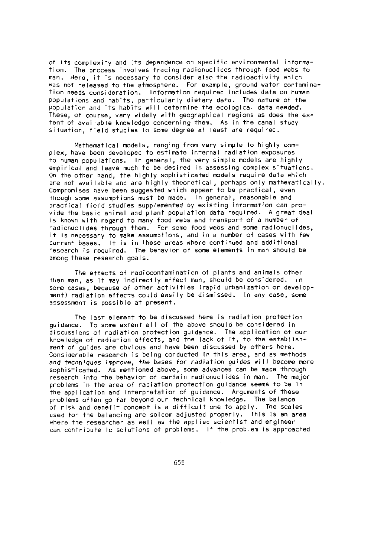of its complexity and its dependence on specific environmental information. The process involves tracing radionuclides through food webs to man. Here, It is necessary to consider also the radioactivity which was not released to the atmosphere. For example, ground water contamination needs consideration. Information required includes data on human populations and habits, particularly dietary data. The nature of the Population and Its habits will determine the ecological data needed. These, of course, vary widely with geographical regions as does the extent of available knowledge concerning them. As in the canal study situation, field studies to some degree at least are required.

Mathematical models, ranging from very simple to highly complex, have been developed to estimate internal radiation exposures to human populations. In general, the very simple models are highly empirical and leave much to be desired in assessing complex situations. On the other hand, the highly sophisticated models require data which are not available and are highly theoretical, perhaps only mathematically. Compromises have been suggested which appear to be practical, even though some assumptions must be made. In general, reasonable and practical field studies supplemented by existing information can provide the basic animal and plant population data required. A great deal is known with regard to many food webs and transport of a number of radionuclides through them. For some food webs and some radionuclides, it is necessary to make assumptions, and in a number of cases with few current bases. It is in these areas where continued and additional research is required. The behavior of some elements in man should be among these research goals.

The effects of radiocontamination of plants and animals other than man, as it may indirectly affect man, should be considered. In some cases, because of other activities (rapid urbanization or development) radiation effects could easily be dismissed. In any case, some assessment is possible at present.

The last element to be discussed here Is radiation protection guidance. To some extent all of the above should be considered in discussions of radiation protection guidance. The application of our knowledge of radiation effects, and the lack of it, to the establishment of guides are obvious and have been discussed by others here. Considerable research is being conducted in this area, and as Methods *and techniques* improve, the bases *for radiation guides will* become more sophisticated. As mentioned above, some advances can be made through research into the behavior of certain radionuclides in man. The major problems in the area of radiation protection guidance seems to be in the appi ication and interpretation of guidance. Arguments of these problems often go tar beyond our technical knowledge. The balance of risk and benefit concept is a difficult one to apply. The scales used for the balancing are seldom adjusted properly. This is an area where the researcher as well as the applied scientist and engineer can contribute to solutions of problems. If the problem is approached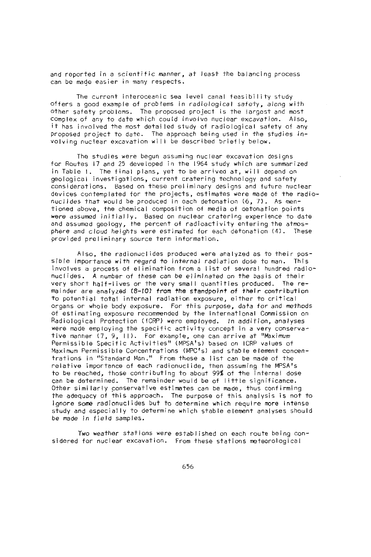and reported in a scientific manner, at least the balancing process can be made easier in many respects.

The current interoceanic sea level canal feasibility study offers a good example of problems in radiological safety, along with Other safety problems. The proposed project is the largest and most complex of any to date which could involve nuclear excavation. Also, it has involved the most detailed study of radiological afety of any Proposed project to date. The approach being used in the studies involving nuclear excavation will be described briefly below.

The studies were begun assuming nuclear excavation designs for Routes 17 and 25 developed in the 1964 study which are summarized in Table 1. The final plans, yet to be arrived at, will depend on geological investigations, current cratering technology and safety considerations. Based on these preliminary designs and future nuclear devices contemplated for the projects, estimates were made of the radionuclides that would be produced in each detonation (6, 7). As mentioned above, the chemical composition of media of detonation points were assumed initially. Based on nuclear cratering experience to date and assumed geology, the percent of radioactivity entering the atmosphere and cloud heights were estimated for each detonation (4). These provided preliminary source term information.

Also, the radionuclides produced were analyzed as to their possible importance with regard to internal radiation dose to man. This involves a process of elimination from a list of several hundred radionuclides. A number of these can be eliminated on the basis of their very short half-lives or the very small quantities produced. The remainder are analyzed (8-fO) from the standpoint of their contribution to potential total internal radiation exposure, either to critical organs or whole body exposure. For this purpose, data for and methods of estimating exposure recommended by the International Commission on Radiological Protection (ICRP) were employed. In addition, analyses were made employing the specific activity concept in a very conservative manner (7, 9, 11). For example, one can arrive at "Maximum Permissible Specific Activities" (MPSA's) based on ICRP values of Maximum Permissible Concentrations (MPC's) and stable element concentrations in "Standard Man." From these a list can be made of the relative importance of each radionuclide, then assuming the MPSA's to be reached, those contributing to about 99% of the internal dose can be determined. The remainder would be of little significance. Other similarly conservative estimates can be made, thus confirming the adequacy of this approach. The purpose of this analysis is not to ignore some radionuclides but to determine which require more intense study and especially to determine which stable element analyses should be made *in* field samples.

Two weather stations were established on each route being considered for nuclear excavation. From these stations meteorological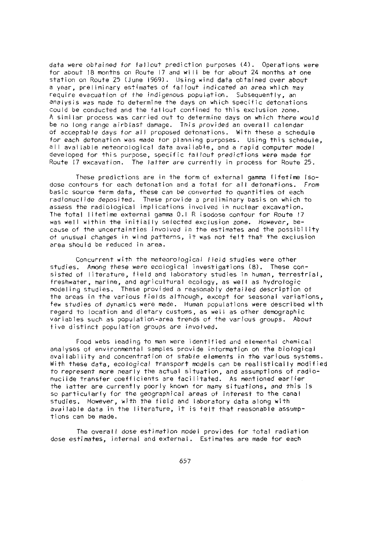data were obtained for fallout prediction purposes (4). Operations were for about 18 months on Route 17 and will be for about 24 months at one station on Route 25 (June 1969). Using wind data obtained over about a year, preliminary estimates of fallout indicated *an area* which may require evacuation of the indigenous population. Subsequently, an *analysis was* made to determine the days on which specific detonations could be conducted and the fallout confined to this exclusion zone. A similar process was carried out to determine days on which there *would* be no long range airblast damage. This provided an overall calendar of acceptab le days for a *I* I proposed detonat i ons . With these a schedule for each detonation was made for planning purposes. Using this schedule, all available meteorological data available, and a rapid computer model developed for this purpose, specific fallout predictions were made for Route 7 excavation. The latter are currently in process for Route 25.

These predictions are in the form of external gamma lifetime isodose contours for each detonation and a total for all detonations. *From* basic source term data, these *can be* converted to quantities of each radionuclide deposited. These provide a preliminary basis on which to assess the radiological implications involved in nuclear excavation. The total lifetime external gamma 0.1 R isodose confour for Route 17 was well within the initially selected exclusion zone. However, because of the uncertainties involved in the estimates and the possibility of unusual changes in wind patterns, it was not felt that the exclusion area should be reduced in area.

Concurrent with the meteorological field studies were other studies. Among these were ecological investigations (8). These consisted of literature, field and laboratory studies in human, terrestrial, freshwater, arine, and agricultural ecology, as well as hydrologic modeling studies. These provided a reasonably detailed description of the areas in the various fields although, except for seasonal variations, few studies of dynamics were made. Human populations were described with regard to location and dietary customs, as well as other demographic variables such as population-area trends of the various groups. About five distinct population groups are involved.

Food webs leading to man were identified and elemental chemical analyses of environmental samples provide information on the biological availability and concentration of stable elements in the various systems. With these data, ecological transport models can be realistically modified to represent more nearly the actual situation, and assumptions of radionuclide transfer coefficients are facilitated. As mentioned earlier the latter are currently poorly known for many situations, and this is so particularly for the geographical areas of interest to the canal studies. However, with the field and laboratory data along with available data in the literature, it is felt that reasonable assumptions can be made.

The overall dose estimation model provides for total radiation dose etimates, nternal and external. Estimates are made for each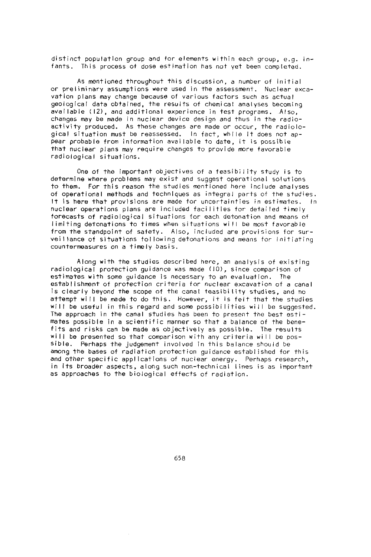distinct population group and for elements within each group, e.g. infants. This process of dose estimation has not yet been completed.

As mentioned throughout this discussion, a number of initial or preliminary assumptions were used in the assessment. Nuclear excavation plans may change because of various factors such as actual geological data obtained, the results of chemical analyses becoming available 12), and additional experience in test programs. Also, changes may be made in nuclear device design and thus in the radioactivity produced. As these changes are made or occur, the radiological situation must be reassessed. In fact, while it does not appear probable from information available to date, it is possible that nuclear plans may require changes to provide more favorable radiological situations.

One of the important objectives of a feasibility study is to determine where problems may exist and suggest operational solutions to them. For this reason the studies mentioned here include analyses of operational methods and techniques as integral parts of the studies. It is here that provisions are made for uncertainties in estimates. In nuclear operations plans are included facilities for detailed timely forecasts of radiological situations for each detonation and means of limiting detonations to times when situations will be most favorable from the standpoint of safety. Also, included are provisions for surveillance of situations following detonations and means for initiating countermeasures on a timely basis.

Along with the studies described here, an analysis of existing radiological protection guidance was made (10), since comparison of estimates with some guidance is necessary to an evaluation. The establishment of protection criteria for nuclear excavation of a canal is clearly beyond the scope of the canal feasibility studies, and no attempt will be made to do this. However, it is felt that the studies *will* be useful in this regard and some possibilities will be suggested. The approach in the canal studies has been to present the best estimates possible in a scientific manner so that a balance of the benefits and risks can be made as objectively as possible. The results will be presented so that comparison with any criteria will be pos-Sible. Perhaps the judgement involved in this balance should be among the bases of radiation protection guidance established for this and other specific applications of nuclear energy. Perhaps research, in its broader aspects, along such non-technical lines is as important as approaches to the biological effects of radiation.

658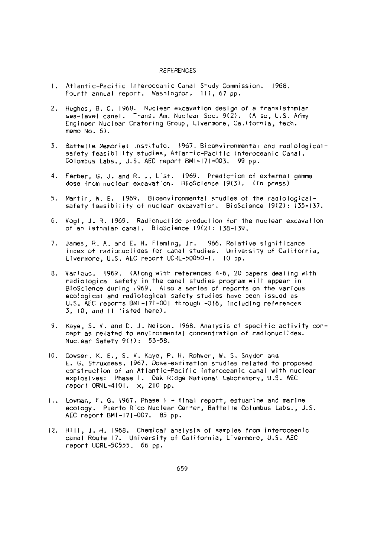#### REFERENCES

- 1. Atlantic-Pacific Interoceanic Canal Study Commission. 1968. Fourth annual report. Washington. iii, 67 pp.
- *2.* Hughes, B. C. 1968. Nuclear excavation design of a transisthmian sea-level canal. Trans. Am. Nuclear Soc. 9(2). (Also, U.S. Army Engineer Nuclear Cratering Group, Livermore, California, tech. memo  $No. 6$ .
- 3. Battelle Memorial Institute. 1967. Bioenvironmental and radiologicalsafety feasibility studies, Atlantic-Pacific Interoceanic Canal. Colombus Labs., U.S. AEC report BMI-171-003. 99 pp.
- 4. Ferber, G. J. and R. J. List. 1969. Prediction of external gamma dose from nuclear excavation. BloScience 19(3). (in press)
- 5. Martin, W. E. 1969. Bioenvironmental studies of the radiologicalsafety feasibility of nuclear excavation. BioScience 19(2): 135-137.
- 6. Vogt, J. R. 1969. Radionuclide production for the nuclear excavation of an isthmian canal. BioScience 19(2): 138-139.
- 7. James, R. A. and E. H. Fleming, Jr. 1966. Relative significance index of radionuclides for canal studies. University of California, Livermore, U.S. AEC report UCRL-50050-1. 10 pp.
- 8. Various. 1969. (Along with references 4-6, 20 papers dealing with radiological safety in the canal studies program will appear in BioSclence during 1969. Also a series of reports on the various ecological and radiological safety studies have been issued as U.S. AEC reports BMI-171-001 through -016, including references 3, 10, and 11 listed here).
- 9. Kaye, S. V. and D. J. Nelson. 1968. Analysis of specific activity concept as related to environmental concentration of radionuclides. Nuclear Safety 9(l): 53-58.
- 10. Cowser, K. E., S. V. Kaye, P. H. Rohwer, W. S. Snyder and E. G. Struxness. 1967. Dose-estimation studies related to proposed construction of an Atlantic-Pacific interoceanic canal with nuclear explosives: Phase L. Oak Ridge National Laboratory, U.S. AEC report ORNL-4101. x, 210 pp.
- II. Lowman, F. G. 1967. Phase I final report, estuarine and marine ecology. Puerto Rico Nuclear Center, Battelle Columbus Labs., U.S. AEC report BMI-171-007. 85 pp.
- 12. Hill, J. H. 1968. Chemical analysis of samples from interoceanic canal Route 17. University of California, Livermore, U.S. AEC report UCRL-50555. 66 pp.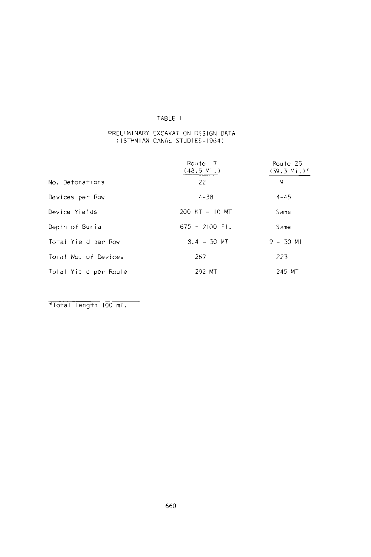# TABLE I

# PRELIMINARY EXCAVATION DESIGN DATA (ISTHMIAN CANAL STUD ES- 964)

|                       | Route 17<br>(48.5 Mi.) | Route 25<br>$(39.3 \text{ Mi.})*$ |
|-----------------------|------------------------|-----------------------------------|
| No. Detonations       | 22                     | 19                                |
| Devices per Row       | $4 - 38$               | $4 - 45$                          |
| Device Yields         | 200 KT - 10 MT         | Same                              |
| Depth of Burial       | $675 - 2100$ Ft.       | Same                              |
| Total Yield per Row   | $8.4 - 30$ MT          | $9 - 30$ MT                       |
| Total No. of Devices  | 267                    | 223                               |
| Total Yield per Route | 292 MT                 | 245 MT                            |

\*Total length 100 mi.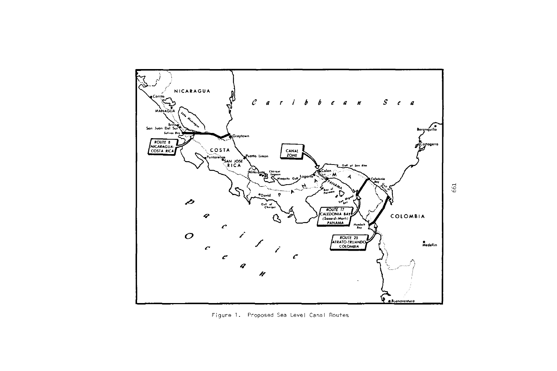

Figure 1. Proposed Sea Level Canal Routes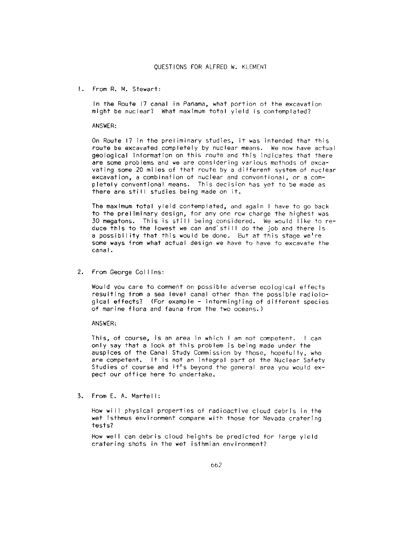From R. M. Stewart:

In the Route 17 canal in Panama, what portion of the excavation might be nuclear? What maximum total yield is contemplated?

#### ANSWER:

On Route 17 in the preliminary studies, it was intended that this route be excavated completely by nuclear means. We now have actual geological Information on this route and this indicates that there are some problems and we are considering various methods of excavating some 20 miles of that route by a different system of nuclear excavation, a combination of nuclear and conventional, or a completely conventional means. This decision has yet to be made as there are still studies being made on it.

The maximum total yield contemplated, and again I have to go back to the preliminary design, for any one row charge the highest was 30 megatons. This is still being considered. We would like to reduce this to the lowest we can and'still do the job and there is a possibility that this would be done. But at this stage we're some ways from what actual design we have to have to excavate the canal.

*2.* From George Collins:

Would you care to comment on possible adverse ecological effects resulting from a sea level canal other than the possible radiological effects? (For example - intermingling of different species of marine flora and fauna from the two oceans.)

ANSWER:

This, of course, is an area in which I am not competent. I can only say that a look at this problem is being made under the auspices of the Canal Study Commission by those, hopefully, who are competent. It is not an integral part of the Nuclear Safety Studies of course and it's beyond the general area you would expect our office here to undertake.

3. From E. A. Martell:

How will physical properties of radioactive cloud debris in the wet isthmus environment compare with those for Nevada cratering tests?

How well can debris cloud heights be predicted for large yield cratering shots in the wet isthmian environment?